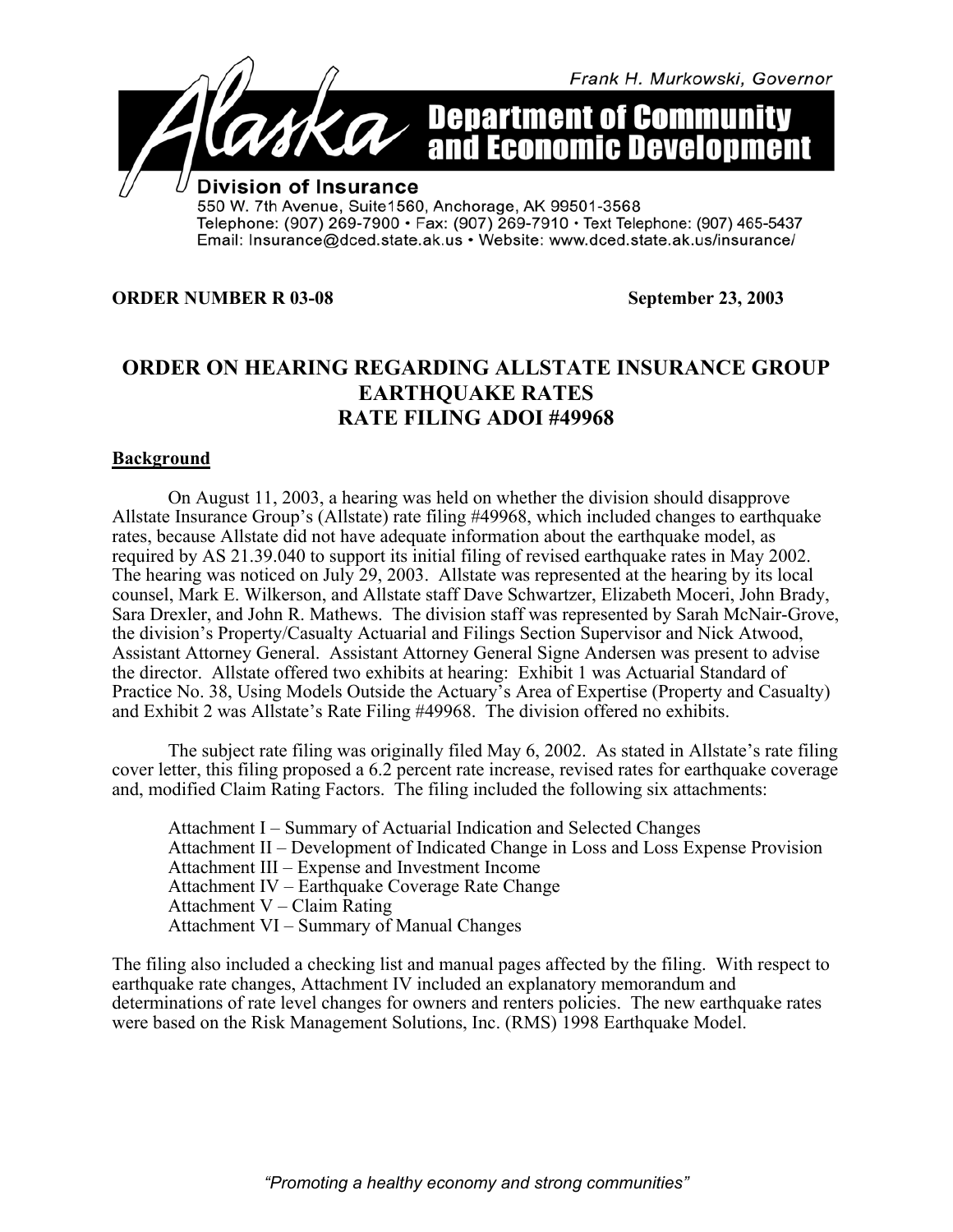

## **ORDER NUMBER R 03-08 September 23, 2003**

## **ORDER ON HEARING REGARDING ALLSTATE INSURANCE GROUP EARTHQUAKE RATES RATE FILING ADOI #49968**

## **Background**

On August 11, 2003, a hearing was held on whether the division should disapprove Allstate Insurance Group's (Allstate) rate filing #49968, which included changes to earthquake rates, because Allstate did not have adequate information about the earthquake model, as required by AS 21.39.040 to support its initial filing of revised earthquake rates in May 2002. The hearing was noticed on July 29, 2003. Allstate was represented at the hearing by its local counsel, Mark E. Wilkerson, and Allstate staff Dave Schwartzer, Elizabeth Moceri, John Brady, Sara Drexler, and John R. Mathews. The division staff was represented by Sarah McNair-Grove, the division's Property/Casualty Actuarial and Filings Section Supervisor and Nick Atwood, Assistant Attorney General. Assistant Attorney General Signe Andersen was present to advise the director. Allstate offered two exhibits at hearing: Exhibit 1 was Actuarial Standard of Practice No. 38, Using Models Outside the Actuary's Area of Expertise (Property and Casualty) and Exhibit 2 was Allstate's Rate Filing #49968. The division offered no exhibits.

The subject rate filing was originally filed May 6, 2002. As stated in Allstate's rate filing cover letter, this filing proposed a 6.2 percent rate increase, revised rates for earthquake coverage and, modified Claim Rating Factors. The filing included the following six attachments:

Attachment I – Summary of Actuarial Indication and Selected Changes Attachment II – Development of Indicated Change in Loss and Loss Expense Provision Attachment III – Expense and Investment Income Attachment IV – Earthquake Coverage Rate Change Attachment V – Claim Rating Attachment VI – Summary of Manual Changes

The filing also included a checking list and manual pages affected by the filing. With respect to earthquake rate changes, Attachment IV included an explanatory memorandum and determinations of rate level changes for owners and renters policies. The new earthquake rates were based on the Risk Management Solutions, Inc. (RMS) 1998 Earthquake Model.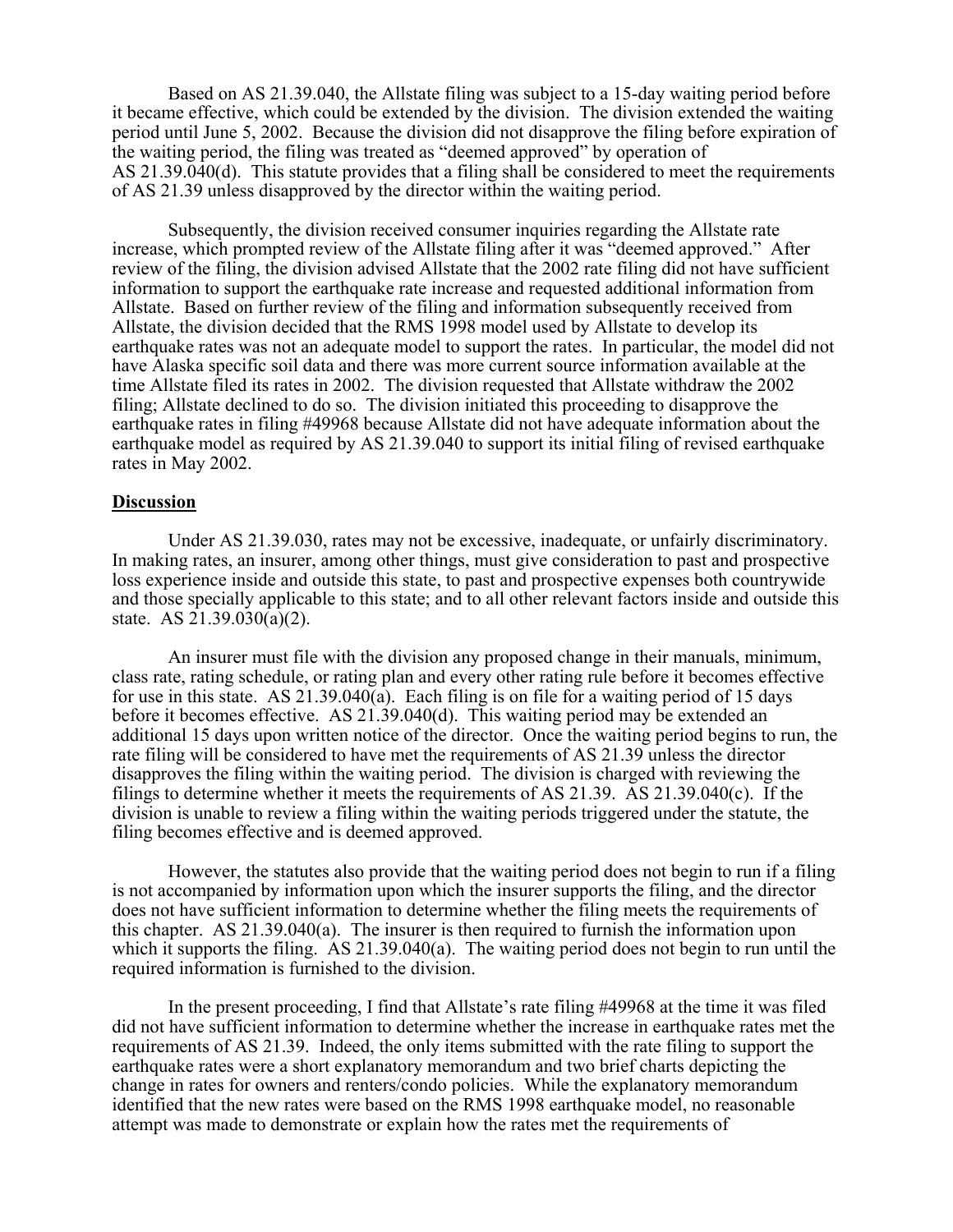Based on AS 21.39.040, the Allstate filing was subject to a 15-day waiting period before it became effective, which could be extended by the division. The division extended the waiting period until June 5, 2002. Because the division did not disapprove the filing before expiration of the waiting period, the filing was treated as "deemed approved" by operation of AS 21.39.040(d). This statute provides that a filing shall be considered to meet the requirements of AS 21.39 unless disapproved by the director within the waiting period.

Subsequently, the division received consumer inquiries regarding the Allstate rate increase, which prompted review of the Allstate filing after it was "deemed approved." After review of the filing, the division advised Allstate that the 2002 rate filing did not have sufficient information to support the earthquake rate increase and requested additional information from Allstate. Based on further review of the filing and information subsequently received from Allstate, the division decided that the RMS 1998 model used by Allstate to develop its earthquake rates was not an adequate model to support the rates. In particular, the model did not have Alaska specific soil data and there was more current source information available at the time Allstate filed its rates in 2002. The division requested that Allstate withdraw the 2002 filing; Allstate declined to do so. The division initiated this proceeding to disapprove the earthquake rates in filing #49968 because Allstate did not have adequate information about the earthquake model as required by AS 21.39.040 to support its initial filing of revised earthquake rates in May 2002.

## **Discussion**

Under AS 21.39.030, rates may not be excessive, inadequate, or unfairly discriminatory. In making rates, an insurer, among other things, must give consideration to past and prospective loss experience inside and outside this state, to past and prospective expenses both countrywide and those specially applicable to this state; and to all other relevant factors inside and outside this state. AS 21.39.030(a)(2).

An insurer must file with the division any proposed change in their manuals, minimum, class rate, rating schedule, or rating plan and every other rating rule before it becomes effective for use in this state. AS 21.39.040(a). Each filing is on file for a waiting period of 15 days before it becomes effective. AS 21.39.040(d). This waiting period may be extended an additional 15 days upon written notice of the director. Once the waiting period begins to run, the rate filing will be considered to have met the requirements of AS 21.39 unless the director disapproves the filing within the waiting period. The division is charged with reviewing the filings to determine whether it meets the requirements of AS 21.39. AS 21.39.040(c). If the division is unable to review a filing within the waiting periods triggered under the statute, the filing becomes effective and is deemed approved.

However, the statutes also provide that the waiting period does not begin to run if a filing is not accompanied by information upon which the insurer supports the filing, and the director does not have sufficient information to determine whether the filing meets the requirements of this chapter. AS 21.39.040(a). The insurer is then required to furnish the information upon which it supports the filing. AS 21.39.040(a). The waiting period does not begin to run until the required information is furnished to the division.

In the present proceeding, I find that Allstate's rate filing #49968 at the time it was filed did not have sufficient information to determine whether the increase in earthquake rates met the requirements of AS 21.39. Indeed, the only items submitted with the rate filing to support the earthquake rates were a short explanatory memorandum and two brief charts depicting the change in rates for owners and renters/condo policies. While the explanatory memorandum identified that the new rates were based on the RMS 1998 earthquake model, no reasonable attempt was made to demonstrate or explain how the rates met the requirements of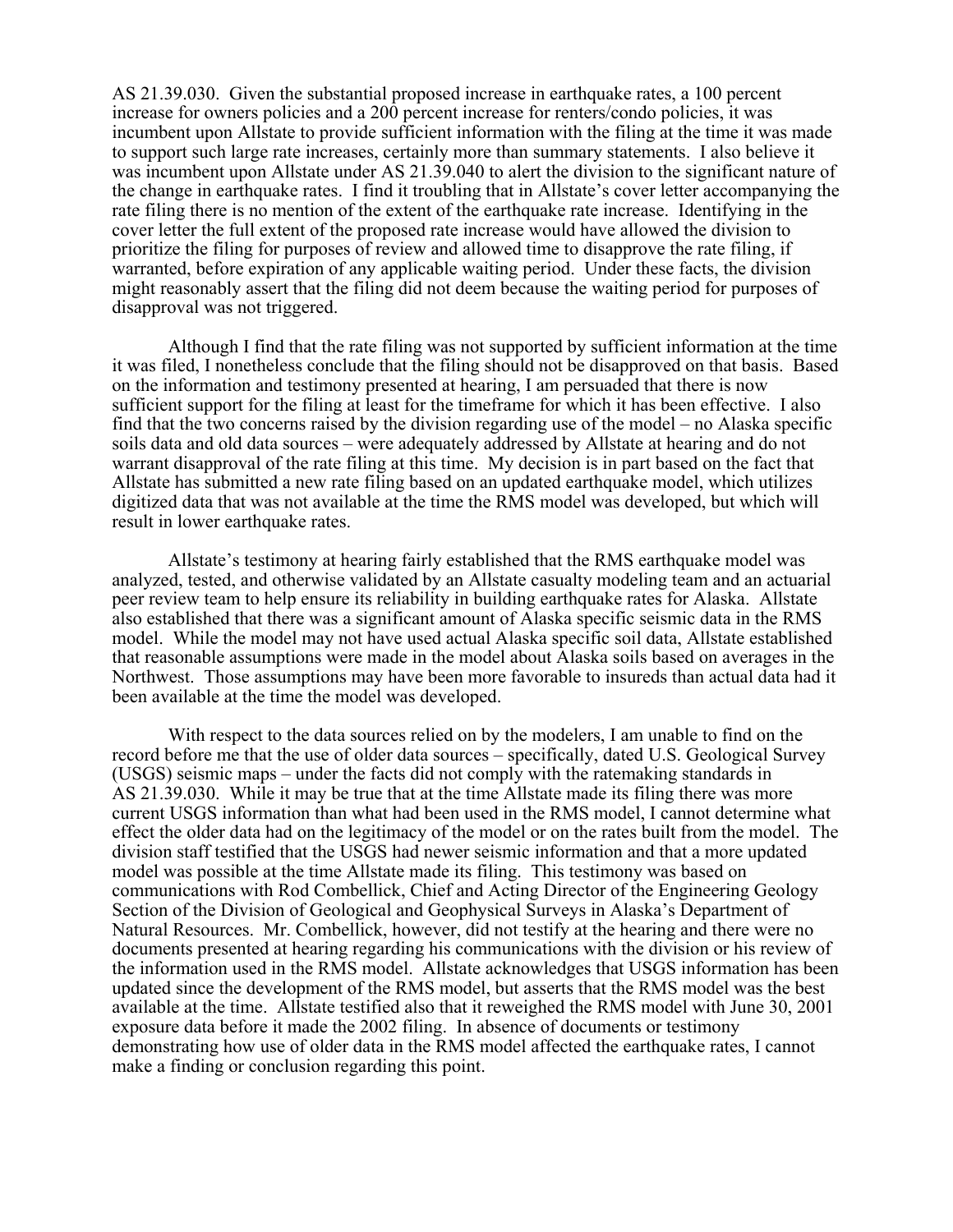AS 21.39.030. Given the substantial proposed increase in earthquake rates, a 100 percent increase for owners policies and a 200 percent increase for renters/condo policies, it was incumbent upon Allstate to provide sufficient information with the filing at the time it was made to support such large rate increases, certainly more than summary statements. I also believe it was incumbent upon Allstate under AS 21.39.040 to alert the division to the significant nature of the change in earthquake rates. I find it troubling that in Allstate's cover letter accompanying the rate filing there is no mention of the extent of the earthquake rate increase. Identifying in the cover letter the full extent of the proposed rate increase would have allowed the division to prioritize the filing for purposes of review and allowed time to disapprove the rate filing, if warranted, before expiration of any applicable waiting period. Under these facts, the division might reasonably assert that the filing did not deem because the waiting period for purposes of disapproval was not triggered.

Although I find that the rate filing was not supported by sufficient information at the time it was filed, I nonetheless conclude that the filing should not be disapproved on that basis. Based on the information and testimony presented at hearing, I am persuaded that there is now sufficient support for the filing at least for the timeframe for which it has been effective. I also find that the two concerns raised by the division regarding use of the model – no Alaska specific soils data and old data sources – were adequately addressed by Allstate at hearing and do not warrant disapproval of the rate filing at this time. My decision is in part based on the fact that Allstate has submitted a new rate filing based on an updated earthquake model, which utilizes digitized data that was not available at the time the RMS model was developed, but which will result in lower earthquake rates.

Allstate's testimony at hearing fairly established that the RMS earthquake model was analyzed, tested, and otherwise validated by an Allstate casualty modeling team and an actuarial peer review team to help ensure its reliability in building earthquake rates for Alaska. Allstate also established that there was a significant amount of Alaska specific seismic data in the RMS model. While the model may not have used actual Alaska specific soil data, Allstate established that reasonable assumptions were made in the model about Alaska soils based on averages in the Northwest. Those assumptions may have been more favorable to insureds than actual data had it been available at the time the model was developed.

With respect to the data sources relied on by the modelers, I am unable to find on the record before me that the use of older data sources – specifically, dated U.S. Geological Survey (USGS) seismic maps – under the facts did not comply with the ratemaking standards in AS 21.39.030. While it may be true that at the time Allstate made its filing there was more current USGS information than what had been used in the RMS model, I cannot determine what effect the older data had on the legitimacy of the model or on the rates built from the model. The division staff testified that the USGS had newer seismic information and that a more updated model was possible at the time Allstate made its filing. This testimony was based on communications with Rod Combellick, Chief and Acting Director of the Engineering Geology Section of the Division of Geological and Geophysical Surveys in Alaska's Department of Natural Resources. Mr. Combellick, however, did not testify at the hearing and there were no documents presented at hearing regarding his communications with the division or his review of the information used in the RMS model. Allstate acknowledges that USGS information has been updated since the development of the RMS model, but asserts that the RMS model was the best available at the time. Allstate testified also that it reweighed the RMS model with June 30, 2001 exposure data before it made the 2002 filing. In absence of documents or testimony demonstrating how use of older data in the RMS model affected the earthquake rates, I cannot make a finding or conclusion regarding this point.